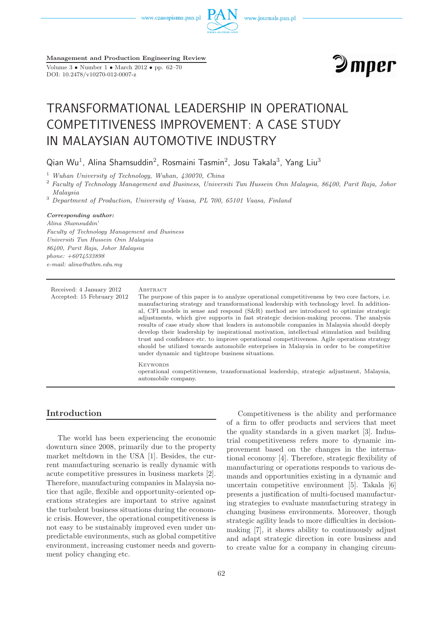www.czasopisma.pan.pl



**Management and Production Engineering Review** Volume 3 • Number 1 • March 2012 • pp. 62–70

DOI: 10.2478/v10270-012-0007-z



# TRANSFORMATIONAL LEADERSHIP IN OPERATIONAL COMPETITIVENESS IMPROVEMENT: A CASE STUDY IN MALAYSIAN AUTOMOTIVE INDUSTRY

Qian Wu<sup>1</sup>, Alina Shamsuddin<sup>2</sup>, Rosmaini Tasmin<sup>2</sup>, Josu Takala<sup>3</sup>, Yang Liu<sup>3</sup>

<sup>1</sup> *Wuhan University of Technology, Wuhan, 430070, China*

<sup>2</sup> *Faculty of Technology Management and Business, Universiti Tun Hussein Onn Malaysia, 86400, Parit Raja, Johor Malaysia*

<sup>3</sup> *Department of Production, University of Vaasa, PL 700, 65101 Vaasa, Finland*

#### *Corresponding author:*

*Alina Shamsuddin' Faculty of Technology Management and Business Universiti Tun Hussein Onn Malaysia 86400, Parit Raja, Johor Malaysia phone: +6074533898 e-mail: alina@uthm.edu.my*

Received: 4 January 2012 ABSTRACT

Accepted: 15 February 2012 The purpose of this paper is to analyze operational competitiveness by two core factors, i.e. manufacturing strategy and transformational leadership with technology level. In additional, CFI models in sense and respond (S&R) method are introduced to optimize strategic adjustments, which give supports in fast strategic decision-making process. The analysis results of case study show that leaders in automobile companies in Malaysia should deeply develop their leadership by inspirational motivation, intellectual stimulation and building trust and confidence etc. to improve operational competitiveness. Agile operations strategy should be utilized towards automobile enterprises in Malaysia in order to be competitive under dynamic and tightrope business situations.

**KEYWORDS** 

operational competitiveness, transformational leadership, strategic adjustment, Malaysia, automobile company.

### **Introduction**

The world has been experiencing the economic downturn since 2008, primarily due to the property market meltdown in the USA [1]. Besides, the current manufacturing scenario is really dynamic with acute competitive pressures in business markets [2]. Therefore, manufacturing companies in Malaysia notice that agile, flexible and opportunity-oriented operations strategies are important to strive against the turbulent business situations during the economic crisis. However, the operational competitiveness is not easy to be sustainably improved even under unpredictable environments, such as global competitive environment, increasing customer needs and government policy changing etc.

Competitiveness is the ability and performance of a firm to offer products and services that meet the quality standards in a given market [3]. Industrial competitiveness refers more to dynamic improvement based on the changes in the international economy [4]. Therefore, strategic flexibility of manufacturing or operations responds to various demands and opportunities existing in a dynamic and uncertain competitive environment [5]. Takala [6] presents a justification of multi-focused manufacturing strategies to evaluate manufacturing strategy in changing business environments. Moreover, though strategic agility leads to more difficulties in decisionmaking [7], it shows ability to continuously adjust and adapt strategic direction in core business and to create value for a company in changing circum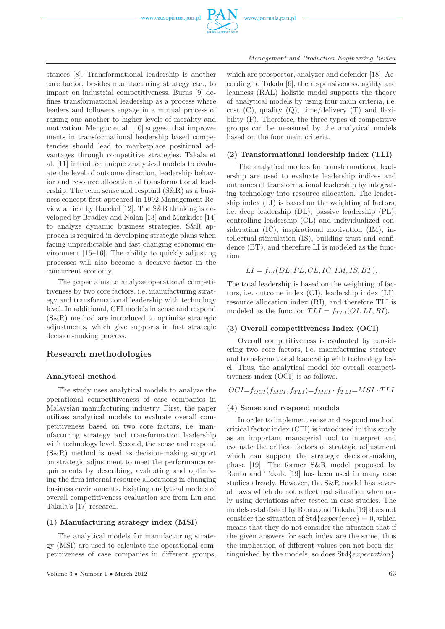www.czasopisma.pan.pl



stances [8]. Transformational leadership is another core factor, besides manufacturing strategy etc., to impact on industrial competitiveness. Burns [9] defines transformational leadership as a process where leaders and followers engage in a mutual process of raising one another to higher levels of morality and motivation. Menguc et al. [10] suggest that improvements in transformational leadership based competencies should lead to marketplace positional advantages through competitive strategies. Takala et al. [11] introduce unique analytical models to evaluate the level of outcome direction, leadership behavior and resource allocation of transformational leadership. The term sense and respond (S&R) as a business concept first appeared in 1992 Management Review article by Haeckel [12]. The S&R thinking is developed by Bradley and Nolan [13] and Markides [14] to analyze dynamic business strategies. S&R approach is required in developing strategic plans when facing unpredictable and fast changing economic environment [15–16]. The ability to quickly adjusting processes will also become a decisive factor in the concurrent economy.

The paper aims to analyze operational competitiveness by two core factors, i.e. manufacturing strategy and transformational leadership with technology level. In additional, CFI models in sense and respond (S&R) method are introduced to optimize strategic adjustments, which give supports in fast strategic decision-making process.

### **Research methodologies**

### **Analytical method**

The study uses analytical models to analyze the operational competitiveness of case companies in Malaysian manufacturing industry. First, the paper utilizes analytical models to evaluate overall competitiveness based on two core factors, i.e. manufacturing strategy and transformation leadership with technology level. Second, the sense and respond (S&R) method is used as decision-making support on strategic adjustment to meet the performance requirements by describing, evaluating and optimizing the firm internal resource allocations in changing business environments. Existing analytical models of overall competitiveness evaluation are from Liu and Takala's [17] research.

### **(1) Manufacturing strategy index (MSI)**

The analytical models for manufacturing strategy (MSI) are used to calculate the operational competitiveness of case companies in different groups,

which are prospector, analyzer and defender [18]. According to Takala [6], the responsiveness, agility and leanness (RAL) holistic model supports the theory of analytical models by using four main criteria, i.e. cost (C), quality (Q), time/delivery (T) and flexibility (F). Therefore, the three types of competitive groups can be measured by the analytical models based on the four main criteria.

### **(2) Transformational leadership index (TLI)**

The analytical models for transformational leadership are used to evaluate leadership indices and outcomes of transformational leadership by integrating technology into resource allocation. The leadership index (LI) is based on the weighting of factors, i.e. deep leadership (DL), passive leadership (PL), controlling leadership (CL) and individualized consideration (IC), inspirational motivation (IM), intellectual stimulation (IS), building trust and confidence (BT), and therefore LI is modeled as the function

### $LI = f_{LI}(DL, PL, CL, IC, IM, IS, BT).$

The total leadership is based on the weighting of factors, i.e. outcome index (OI), leadership index (LI), resource allocation index (RI), and therefore TLI is modeled as the function  $TLI = f_{TLI}(OI, LI, RI)$ .

### **(3) Overall competitiveness Index (OCI)**

Overall competitiveness is evaluated by considering two core factors, i.e. manufacturing strategy and transformational leadership with technology level. Thus, the analytical model for overall competitiveness index (OCI) is as follows.

$$
OCI = f_{OCI}(f_{MSI}, f_{TLI}) = f_{MSI} \cdot f_{TLI} = MSI \cdot TLI
$$

### **(4) Sense and respond models**

In order to implement sense and respond method, critical factor index (CFI) is introduced in this study as an important managerial tool to interpret and evaluate the critical factors of strategic adjustment which can support the strategic decision-making phase [19]. The former S&R model proposed by Ranta and Takala [19] has been used in many case studies already. However, the S&R model has several flaws which do not reflect real situation when only using deviations after tested in case studies. The models established by Ranta and Takala [19] does not consider the situation of  $Std\{ experience\} = 0$ , which means that they do not consider the situation that if the given answers for each index are the same, thus the implication of different values can not been distinguished by the models, so does  $Std\{expectation\}$ .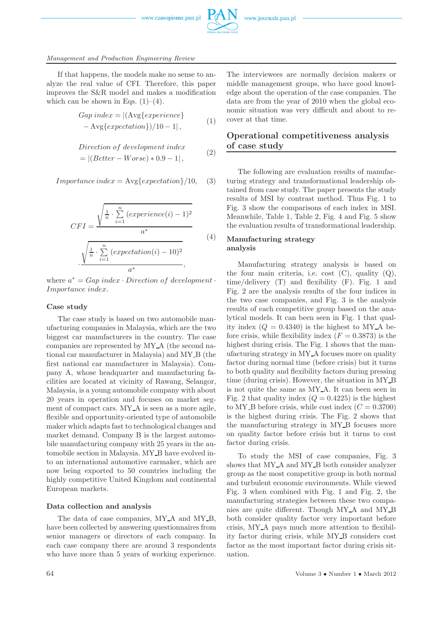www.czasopisma.pan.pl

### *Management and Production Engineering Review*

If that happens, the models make no sense to analyze the real value of CFI. Therefore, this paper improves the S&R model and makes a modification which can be shown in Eqs.  $(1)-(4)$ .

Gap index = 
$$
|\text{Avg}\{\text{experience}\}\
$$
  
- Avg{expectation}\|10-1|, (1)

$$
Direction of development index
$$
  
= | (Better - Worse) \* 0.9 - 1|, (2)

$$
Importance\ index = \text{Avg}\{expectation\}/10, \quad (3)
$$

$$
CFI = \frac{\sqrt{\frac{1}{n} \cdot \sum_{i=1}^{n} (experience(i) - 1)^{2}}}{a^{*}}
$$
  

$$
\cdot \frac{\sqrt{\frac{1}{n} \cdot \sum_{i=1}^{n} (expectation(i) - 10)^{2}}}{a^{*}},
$$
  
(4)

where  $a^* = Gap$  index  $\cdot$  Direction of development  $\cdot$ Importance index.

### **Case study**

The case study is based on two automobile manufacturing companies in Malaysia, which are the two biggest car manufacturers in the country. The case companies are represented by MY A (the second national car manufacturer in Malaysia) and MY B (the first national car manufacturer in Malaysia). Company A, whose headquarter and manufacturing facilities are located at vicinity of Rawang, Selangor, Malaysia, is a young automobile company with about 20 years in operation and focuses on market segment of compact cars. MY<sub>A</sub> is seen as a more agile, flexible and opportunity-oriented type of automobile maker which adapts fast to technological changes and market demand. Company B is the largest automobile manufacturing company with 25 years in the automobile section in Malaysia. MY B have evolved into an international automotive carmaker, which are now being exported to 50 countries including the highly competitive United Kingdom and continental European markets.

### **Data collection and analysis**

The data of case companies, MY A and MY B, have been collected by answering questionnaires from senior managers or directors of each company. In each case company there are around 3 respondents who have more than 5 years of working experience.

The interviewees are normally decision makers or middle management groups, who have good knowledge about the operation of the case companies. The data are from the year of 2010 when the global economic situation was very difficult and about to recover at that time.

## **Operational competitiveness analysis of case study**

The following are evaluation results of manufacturing strategy and transformational leadership obtained from case study. The paper presents the study results of MSI by contrast method. Thus Fig. 1 to Fig. 3 show the comparisons of each index in MSI. Meanwhile, Table 1, Table 2, Fig. 4 and Fig. 5 show the evaluation results of transformational leadership.

### **Manufacturing strategy analysis**

Manufacturing strategy analysis is based on the four main criteria, i.e. cost  $(C)$ , quality  $(Q)$ , time/delivery (T) and flexibility (F). Fig. 1 and Fig. 2 are the analysis results of the four indices in the two case companies, and Fig. 3 is the analysis results of each competitive group based on the analytical models. It can been seen in Fig. 1 that quality index  $(Q = 0.4340)$  is the highest to MY\_A before crisis, while flexibility index  $(F = 0.3873)$  is the highest during crisis. The Fig. 1 shows that the manufacturing strategy in MY A focuses more on quality factor during normal time (before crisis) but it turns to both quality and flexibility factors during pressing time (during crisis). However, the situation in MY B is not quite the same as MY A. It can been seen in Fig. 2 that quality index  $(Q = 0.4225)$  is the highest to MY\_B before crisis, while cost index  $(C = 0.3700)$ is the highest during crisis. The Fig. 2 shows that the manufacturing strategy in MY B focuses more on quality factor before crisis but it turns to cost factor during crisis.

To study the MSI of case companies, Fig. 3 shows that MY A and MY B both consider analyzer group as the most competitive group in both normal and turbulent economic environments. While viewed Fig. 3 when combined with Fig. 1 and Fig. 2, the manufacturing strategies between these two companies are quite different. Though MY A and MY B both consider quality factor very important before crisis, MY A pays much more attention to flexibility factor during crisis, while MY B considers cost factor as the most important factor during crisis situation.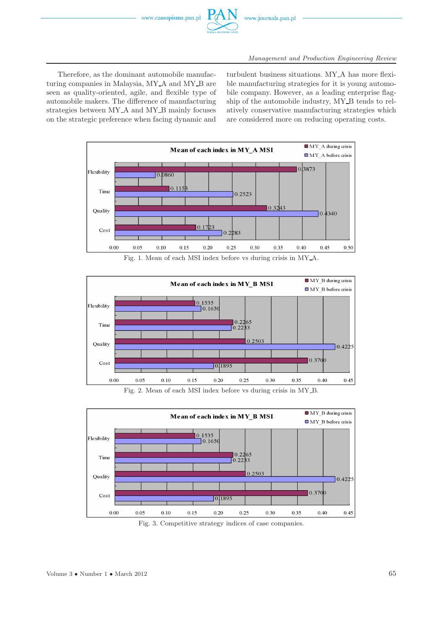

Therefore, as the dominant automobile manufacturing companies in Malaysia, MY A and MY B are seen as quality-oriented, agile, and flexible type of automobile makers. The difference of manufacturing strategies between MY A and MY B mainly focuses on the strategic preference when facing dynamic and turbulent business situations. MY A has more flexible manufacturing strategies for it is young automobile company. However, as a leading enterprise flagship of the automobile industry, MY B tends to relatively conservative manufacturing strategies which are considered more on reducing operating costs.



Fig. 1. Mean of each MSI index before vs during crisis in MY A.



Fig. 2. Mean of each MSI index before vs during crisis in MY B.

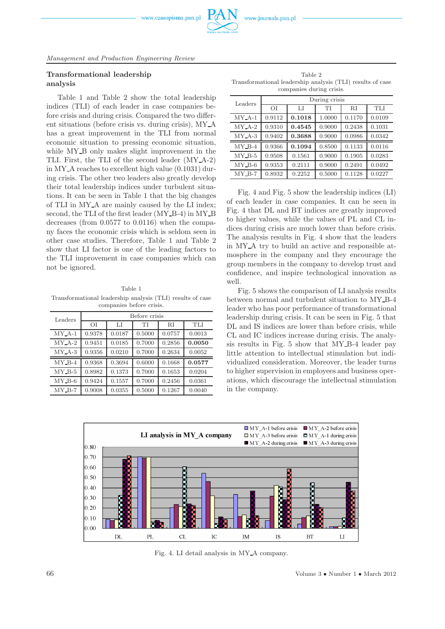

### **Transformational leadership analysis**

Table 1 and Table 2 show the total leadership indices (TLI) of each leader in case companies before crisis and during crisis. Compared the two different situations (before crisis vs. during crisis), MY A has a great improvement in the TLI from normal economic situation to pressing economic situation, while MY<sub>-B</sub> only makes slight improvement in the TLI. First, the TLI of the second leader (MY A-2) in MY A reaches to excellent high value (0.1031) during crisis. The other two leaders also greatly develop their total leadership indices under turbulent situations. It can be seen in Table 1 that the big changes of TLI in MY A are mainly caused by the LI index; second, the TLI of the first leader (MY\_B-4) in MY\_B decreases (from 0.0577 to 0.0116) when the company faces the economic crisis which is seldom seen in other case studies. Therefore, Table 1 and Table 2 show that LI factor is one of the leading factors to the TLI improvement in case companies which can not be ignored.

Table 1 Transformational leadership analysis (TLI) results of case companies before crisis.

| Leaders  | Before crisis  |        |        |             |        |  |
|----------|----------------|--------|--------|-------------|--------|--|
|          | O <sub>I</sub> | LI     | TI     | $_{\rm RI}$ | TLI    |  |
| $MY_A-1$ | 0.9378         | 0.0187 | 0.5000 | 0.0757      | 0.0013 |  |
| $MY_A-2$ | 0.9451         | 0.0185 | 0.7000 | 0.2856      | 0.0050 |  |
| $MY_A-3$ | 0.9356         | 0.0210 | 0.7000 | 0.2634      | 0.0052 |  |
| $MY_B-4$ | 0.9368         | 0.3694 | 0.6000 | 0.1668      | 0.0577 |  |
| $MY_B-5$ | 0.8982         | 0.1373 | 0.7000 | 0.1653      | 0.0204 |  |
| $MY_B-6$ | 0.9424         | 0.1557 | 0.7000 | 0.2456      | 0.0361 |  |
| $MY_B-7$ | 0.9008         | 0.0355 | 0.5000 | 0.1267      | 0.0040 |  |

Table 2 Transformational leadership analysis (TLI) results of case companies during crisis.

| Leaders  | During crisis  |        |        |        |            |  |
|----------|----------------|--------|--------|--------|------------|--|
|          | O <sub>I</sub> | LI     | TI     | RI     | <b>TLI</b> |  |
| $MY_A-1$ | 0.9112         | 0.1018 | 1.0000 | 0.1170 | 0.0109     |  |
| $MY_A-2$ | 0.9310         | 0.4545 | 0.9000 | 0.2438 | 0.1031     |  |
| $MY_A-3$ | 0.9402         | 0.3688 | 0.9000 | 0.0986 | 0.0342     |  |
| $MY_B-4$ | 0.9366         | 0.1094 | 0.8500 | 0.1133 | 0.0116     |  |
| $MY_B-5$ | 0.9508         | 0.1561 | 0.9000 | 0.1905 | 0.0283     |  |
| $MY_B-6$ | 0.9353         | 0.2111 | 0.9000 | 0.2491 | 0.0492     |  |
| $MY_B-7$ | 0.8932         | 0.2252 | 0.5000 | 0.1128 | 0.0227     |  |

Fig. 4 and Fig. 5 show the leadership indices (LI) of each leader in case companies. It can be seen in Fig. 4 that DL and BT indices are greatly improved to higher values, while the values of PL and CL indices during crisis are much lower than before crisis. The analysis results in Fig. 4 show that the leaders in MY A try to build an active and responsible atmosphere in the company and they encourage the group members in the company to develop trust and confidence, and inspire technological innovation as well.

Fig. 5 shows the comparison of LI analysis results between normal and turbulent situation to MY B-4 leader who has poor performance of transformational leadership during crisis. It can be seen in Fig. 5 that DL and IS indices are lower than before crisis, while CL and IC indices increase during crisis. The analysis results in Fig. 5 show that MY B-4 leader pay little attention to intellectual stimulation but individualized consideration. Moreover, the leader turns to higher supervision in employees and business operations, which discourage the intellectual stimulation in the company.



Fig. 4. LI detail analysis in MY A company.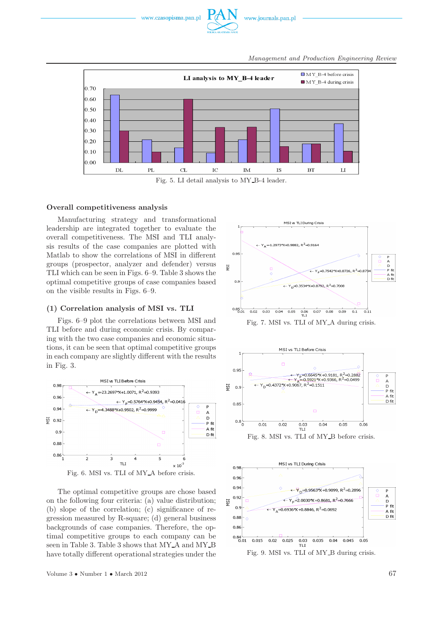



### **Overall competitiveness analysis**

Manufacturing strategy and transformational leadership are integrated together to evaluate the overall competitiveness. The MSI and TLI analysis results of the case companies are plotted with Matlab to show the correlations of MSI in different groups (prospector, analyzer and defender) versus TLI which can be seen in Figs. 6–9. Table 3 shows the optimal competitive groups of case companies based on the visible results in Figs. 6–9.

### **(1) Correlation analysis of MSI vs. TLI**

Figs. 6–9 plot the correlations between MSI and TLI before and during economic crisis. By comparing with the two case companies and economic situations, it can be seen that optimal competitive groups in each company are slightly different with the results in Fig. 3.



The optimal competitive groups are chose based on the following four criteria: (a) value distribution; (b) slope of the correlation; (c) significance of regression measured by R-square; (d) general business backgrounds of case companies. Therefore, the optimal competitive groups to each company can be seen in Table 3. Table 3 shows that MY A and MY B have totally different operational strategies under the









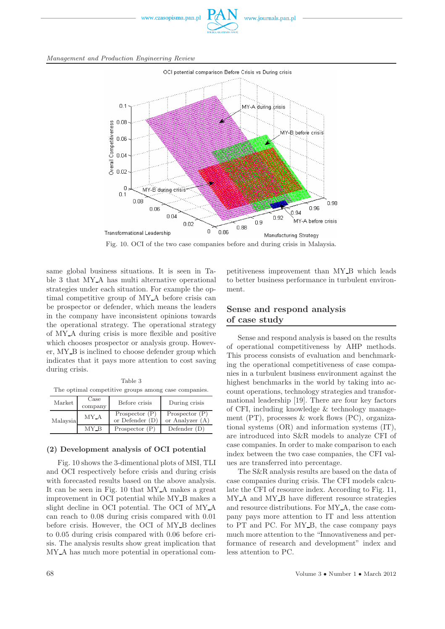



Fig. 10. OCI of the two case companies before and during crisis in Malaysia.

same global business situations. It is seen in Table 3 that MY A has multi alternative operational strategies under each situation. For example the optimal competitive group of MY A before crisis can be prospector or defender, which means the leaders in the company have inconsistent opinions towards the operational strategy. The operational strategy of MY A during crisis is more flexible and positive which chooses prospector or analysis group. However, MY B is inclined to choose defender group which indicates that it pays more attention to cost saving during crisis.

Table 3 The optimal competitive groups among case companies.

| Market   | Case<br>company | Before crisis                         | During crisis                       |
|----------|-----------------|---------------------------------------|-------------------------------------|
| Malaysia | MY A            | Prospector $(P)$<br>or Defender $(D)$ | Prospector (P)<br>or Analyzer $(A)$ |
|          | MY B            | Prospector(P)                         | Defender $(D)$                      |

### **(2) Development analysis of OCI potential**

Fig. 10 shows the 3-dimentional plots of MSI, TLI and OCI respectively before crisis and during crisis with forecasted results based on the above analysis. It can be seen in Fig. 10 that MY A makes a great improvement in OCI potential while MY B makes a slight decline in OCI potential. The OCI of MY A can reach to 0.08 during crisis compared with 0.01 before crisis. However, the OCI of MY B declines to 0.05 during crisis compared with 0.06 before crisis. The analysis results show great implication that MY A has much more potential in operational com-

petitiveness improvement than MY B which leads to better business performance in turbulent environment.

### **Sense and respond analysis of case study**

Sense and respond analysis is based on the results of operational competitiveness by AHP methods. This process consists of evaluation and benchmarking the operational competitiveness of case companies in a turbulent business environment against the highest benchmarks in the world by taking into account operations, technology strategies and transformational leadership [19]. There are four key factors of CFI, including knowledge & technology management (PT), processes & work flows (PC), organizational systems (OR) and information systems (IT), are introduced into S&R models to analyze CFI of case companies. In order to make comparison to each index between the two case companies, the CFI values are transferred into percentage.

The S&R analysis results are based on the data of case companies during crisis. The CFI models calculate the CFI of resource index. According to Fig. 11, MY A and MY B have different resource strategies and resource distributions. For MY A, the case company pays more attention to IT and less attention to PT and PC. For MY B, the case company pays much more attention to the "Innovativeness and performance of research and development" index and less attention to PC.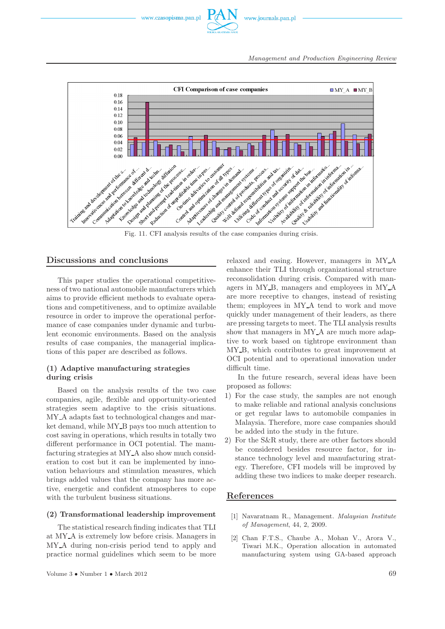



### **Discussions and conclusions**

This paper studies the operational competitiveness of two national automobile manufacturers which aims to provide efficient methods to evaluate operations and competitiveness, and to optimize available resource in order to improve the operational performance of case companies under dynamic and turbulent economic environments. Based on the analysis results of case companies, the managerial implications of this paper are described as follows.

### **(1) Adaptive manufacturing strategies during crisis**

Based on the analysis results of the two case companies, agile, flexible and opportunity-oriented strategies seem adaptive to the crisis situations. MY A adapts fast to technological changes and market demand, while MY B pays too much attention to cost saving in operations, which results in totally two different performance in OCI potential. The manufacturing strategies at MY A also show much consideration to cost but it can be implemented by innovation behaviours and stimulation measures, which brings added values that the company has more active, energetic and confident atmospheres to cope with the turbulent business situations.

### **(2) Transformational leadership improvement**

The statistical research finding indicates that TLI at MY A is extremely low before crisis. Managers in MY A during non-crisis period tend to apply and practice normal guidelines which seem to be more relaxed and easing. However, managers in MY A enhance their TLI through organizational structure reconsolidation during crisis. Compared with managers in MY B, managers and employees in MY A are more receptive to changes, instead of resisting them; employees in MY A tend to work and move quickly under management of their leaders, as there are pressing targets to meet. The TLI analysis results show that managers in MY A are much more adaptive to work based on tightrope environment than MY B, which contributes to great improvement at OCI potential and to operational innovation under difficult time.

In the future research, several ideas have been proposed as follows:

- 1) For the case study, the samples are not enough to make reliable and rational analysis conclusions or get regular laws to automobile companies in Malaysia. Therefore, more case companies should be added into the study in the future.
- 2) For the S&R study, there are other factors should be considered besides resource factor, for instance technology level and manufacturing strategy. Therefore, CFI models will be improved by adding these two indices to make deeper research.

### **References**

- [1] Navaratnam R., Management. *Malaysian Institute of Management*, 44, 2, 2009.
- [2] Chan F.T.S., Chaube A., Mohan V., Arora V., Tiwari M.K., Operation allocation in automated manufacturing system using GA-based approach